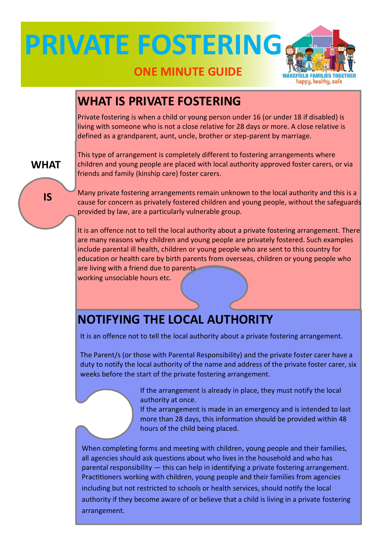## **PRIVATE FOSTERING**



#### **ONE MINUTE GUIDE**

#### **WHAT IS PRIVATE FOSTERING**

Private fostering is when a child or young person under 16 (or under 18 if disabled) is living with someone who is not a close relative for 28 days or more. A close relative is defined as a grandparent, aunt, uncle, brother or step-parent by marriage.

**WHAT**

**IS**

This type of arrangement is completely different to fostering arrangements where children and young people are placed with local authority approved foster carers, or via friends and family (kinship care) foster carers.

Many private fostering arrangements remain unknown to the local authority and this is a cause for concern as privately fostered children and young people, without the safeguards provided by law, are a particularly vulnerable group.

It is an offence not to tell the local authority about a private fostering arrangement. There are many reasons why children and young people are privately fostered. Such examples include parental ill health, children or young people who are sent to this country for education or health care by birth parents from overseas, children or young people who are living with a friend due to parents

working unsociable hours etc.

Ĭ

### **NOTIFYING THE LOCAL AUTHORITY**

It is an offence not to tell the local authority about a private fostering arrangement.

The Parent/s (or those with Parental Responsibility) and the private foster carer have a duty to notify the local authority of the name and address of the private foster carer, six weeks before the start of the private fostering arrangement.

> If the arrangement is already in place, they must notify the local authority at once.

If the arrangement is made in an emergency and is intended to last more than 28 days, this information should be provided within 48 hours of the child being placed.

When completing forms and meeting with children, young people and their families, all agencies should ask questions about who lives in the household and who has parental responsibility — this can help in identifying a private fostering arrangement. Practitioners working with children, young people and their families from agencies including but not restricted to schools or health services, should notify the local authority if they become aware of or believe that a child is living in a private fostering arrangement.